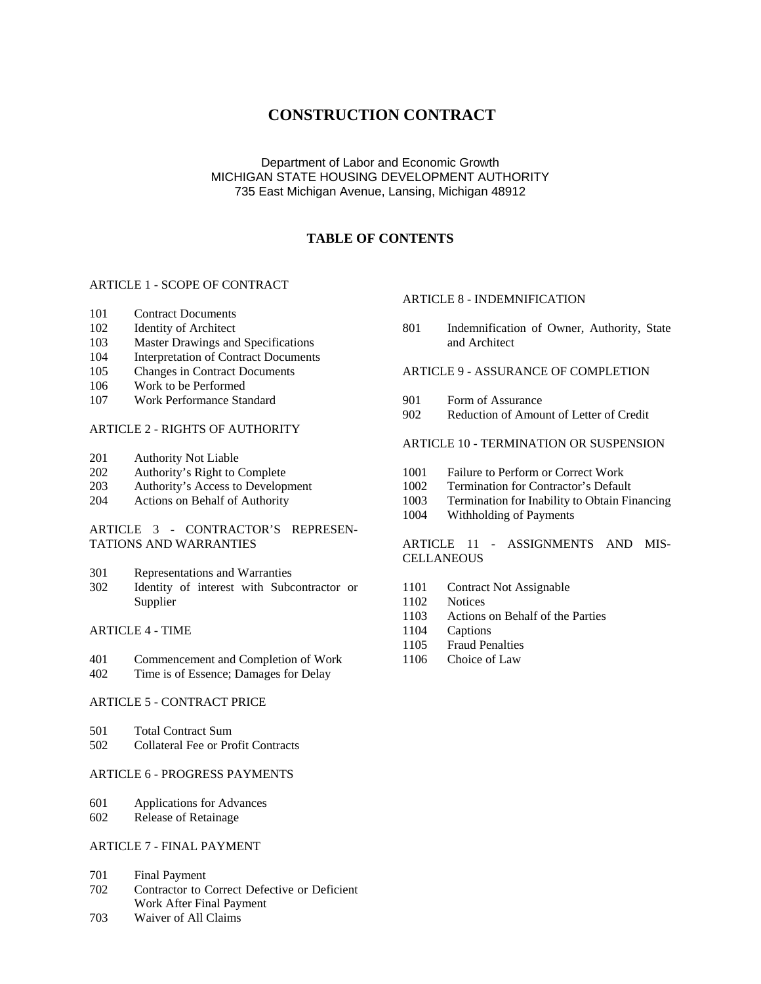# **CONSTRUCTION CONTRACT**

## Department of Labor and Economic Growth MICHIGAN STATE HOUSING DEVELOPMENT AUTHORITY 735 East Michigan Avenue, Lansing, Michigan 48912

## **TABLE OF CONTENTS**

#### ARTICLE 1 - SCOPE OF CONTRACT

- 101 Contract Documents
- 102 Identity of Architect
- 103 Master Drawings and Specifications
- 104 Interpretation of Contract Documents
- 105 Changes in Contract Documents
- 106 Work to be Performed
- 107 Work Performance Standard

### ARTICLE 2 - RIGHTS OF AUTHORITY

- 201 Authority Not Liable
- 202 Authority's Right to Complete
- 203 Authority's Access to Development
- 204 Actions on Behalf of Authority

### ARTICLE 3 - CONTRACTOR'S REPRESEN-TATIONS AND WARRANTIES

- 301 Representations and Warranties
- 302 Identity of interest with Subcontractor or Supplier

#### ARTICLE 4 - TIME

- 401 Commencement and Completion of Work
- 402 Time is of Essence; Damages for Delay

#### ARTICLE 5 - CONTRACT PRICE

- 501 Total Contract Sum
- 502 Collateral Fee or Profit Contracts

### ARTICLE 6 - PROGRESS PAYMENTS

- 601 Applications for Advances
- 602 Release of Retainage

### ARTICLE 7 - FINAL PAYMENT

- 701 Final Payment
- 702 Contractor to Correct Defective or Deficient Work After Final Payment
- 703 Waiver of All Claims

## ARTICLE 8 - INDEMNIFICATION

801 Indemnification of Owner, Authority, State and Architect

### ARTICLE 9 - ASSURANCE OF COMPLETION

- 901 Form of Assurance
- 902 Reduction of Amount of Letter of Credit

#### ARTICLE 10 - TERMINATION OR SUSPENSION

- 1001 Failure to Perform or Correct Work
- 1002 Termination for Contractor's Default
- 1003 Termination for Inability to Obtain Financing
- 1004 Withholding of Payments

### ARTICLE 11 - ASSIGNMENTS AND MIS-**CELLANEOUS**

- 1101 Contract Not Assignable
- 1102 Notices
- 1103 Actions on Behalf of the Parties
- 1104 Captions
- 1105 Fraud Penalties
- 1106 Choice of Law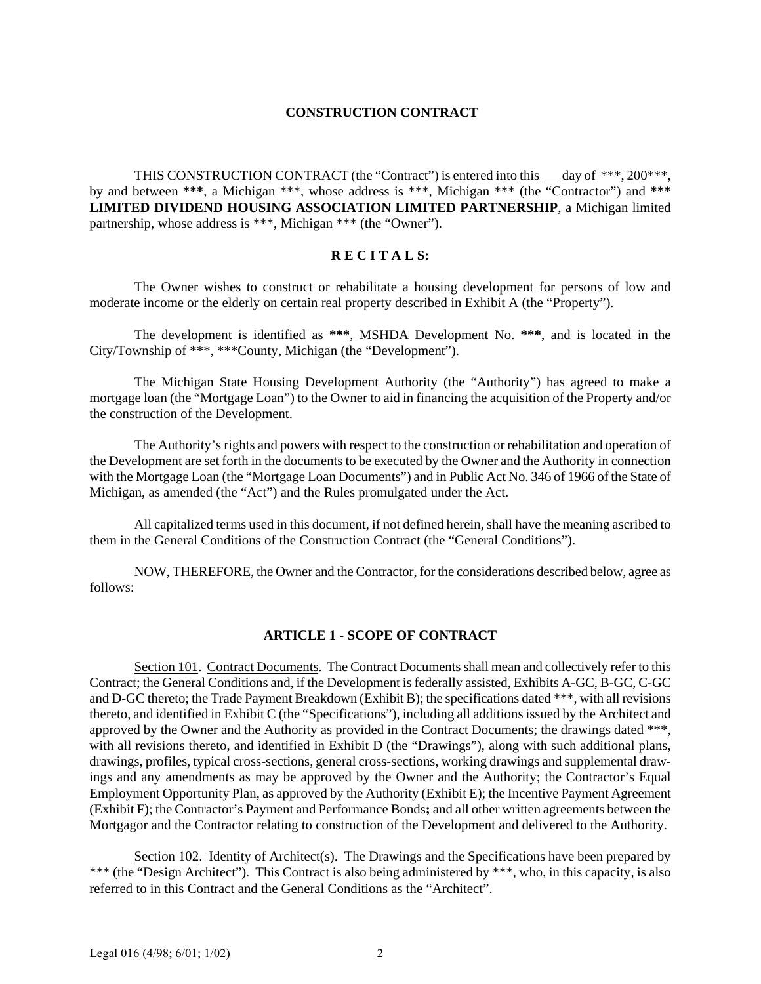## **CONSTRUCTION CONTRACT**

THIS CONSTRUCTION CONTRACT (the "Contract") is entered into this  $\_\_$  day of \*\*\*, 200\*\*\*, by and between **\*\*\***, a Michigan \*\*\*, whose address is \*\*\*, Michigan \*\*\* (the "Contractor") and **\*\*\* LIMITED DIVIDEND HOUSING ASSOCIATION LIMITED PARTNERSHIP**, a Michigan limited partnership, whose address is \*\*\*, Michigan \*\*\* (the "Owner").

## **R E C I T A L S:**

The Owner wishes to construct or rehabilitate a housing development for persons of low and moderate income or the elderly on certain real property described in Exhibit A (the "Property").

The development is identified as **\*\*\***, MSHDA Development No. **\*\*\***, and is located in the City/Township of \*\*\*, \*\*\*County, Michigan (the "Development").

The Michigan State Housing Development Authority (the "Authority") has agreed to make a mortgage loan (the "Mortgage Loan") to the Owner to aid in financing the acquisition of the Property and/or the construction of the Development.

The Authority's rights and powers with respect to the construction or rehabilitation and operation of the Development are set forth in the documents to be executed by the Owner and the Authority in connection with the Mortgage Loan (the "Mortgage Loan Documents") and in Public Act No. 346 of 1966 of the State of Michigan, as amended (the "Act") and the Rules promulgated under the Act.

All capitalized terms used in this document, if not defined herein, shall have the meaning ascribed to them in the General Conditions of the Construction Contract (the "General Conditions").

NOW, THEREFORE, the Owner and the Contractor, for the considerations described below, agree as follows:

# **ARTICLE 1 - SCOPE OF CONTRACT**

Section 101. Contract Documents. The Contract Documents shall mean and collectively refer to this Contract; the General Conditions and, if the Development is federally assisted, Exhibits A-GC, B-GC, C-GC and D-GC thereto; the Trade Payment Breakdown (Exhibit B); the specifications dated \*\*\*, with all revisions thereto, and identified in Exhibit C (the "Specifications"), including all additions issued by the Architect and approved by the Owner and the Authority as provided in the Contract Documents; the drawings dated \*\*\*, with all revisions thereto, and identified in Exhibit D (the "Drawings"), along with such additional plans, drawings, profiles, typical cross-sections, general cross-sections, working drawings and supplemental drawings and any amendments as may be approved by the Owner and the Authority; the Contractor's Equal Employment Opportunity Plan, as approved by the Authority (Exhibit E); the Incentive Payment Agreement (Exhibit F); the Contractor's Payment and Performance Bonds**;** and all other written agreements between the Mortgagor and the Contractor relating to construction of the Development and delivered to the Authority.

Section 102. Identity of Architect(s). The Drawings and the Specifications have been prepared by \*\*\* (the "Design Architect"). This Contract is also being administered by \*\*\*, who, in this capacity, is also referred to in this Contract and the General Conditions as the "Architect".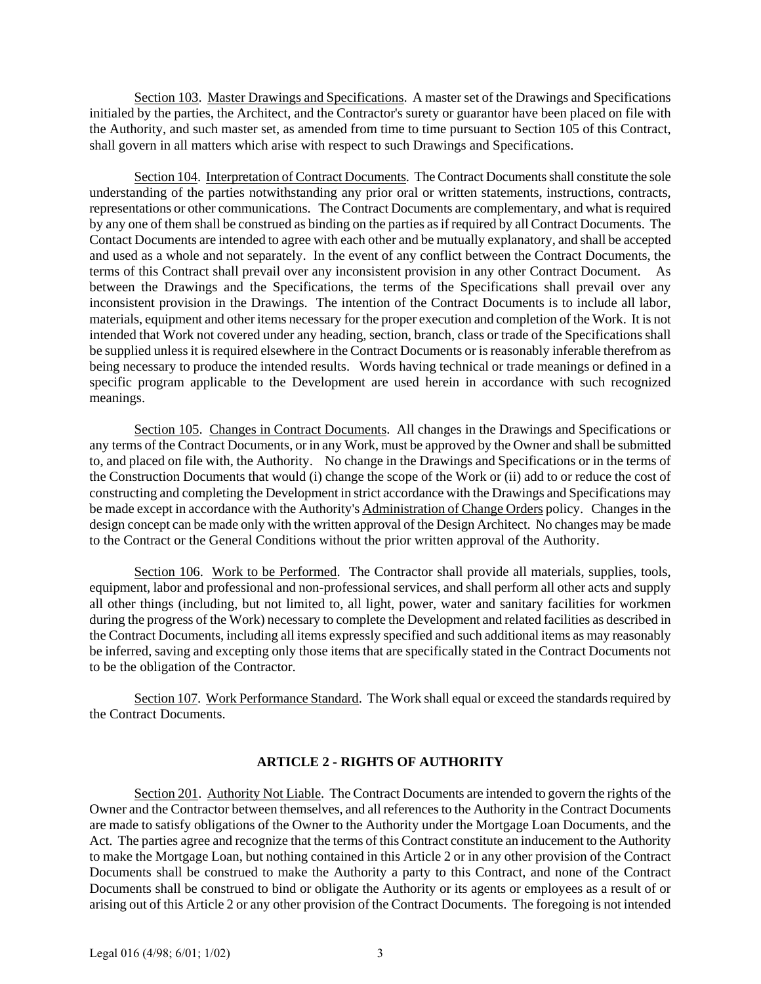Section 103. Master Drawings and Specifications. A master set of the Drawings and Specifications initialed by the parties, the Architect, and the Contractor's surety or guarantor have been placed on file with the Authority, and such master set, as amended from time to time pursuant to Section 105 of this Contract, shall govern in all matters which arise with respect to such Drawings and Specifications.

Section 104. Interpretation of Contract Documents. The Contract Documents shall constitute the sole understanding of the parties notwithstanding any prior oral or written statements, instructions, contracts, representations or other communications. The Contract Documents are complementary, and what is required by any one of them shall be construed as binding on the parties as if required by all Contract Documents. The Contact Documents are intended to agree with each other and be mutually explanatory, and shall be accepted and used as a whole and not separately. In the event of any conflict between the Contract Documents, the terms of this Contract shall prevail over any inconsistent provision in any other Contract Document. As between the Drawings and the Specifications, the terms of the Specifications shall prevail over any inconsistent provision in the Drawings. The intention of the Contract Documents is to include all labor, materials, equipment and other items necessary for the proper execution and completion of the Work. It is not intended that Work not covered under any heading, section, branch, class or trade of the Specifications shall be supplied unless it is required elsewhere in the Contract Documents or is reasonably inferable therefrom as being necessary to produce the intended results. Words having technical or trade meanings or defined in a specific program applicable to the Development are used herein in accordance with such recognized meanings.

Section 105. Changes in Contract Documents. All changes in the Drawings and Specifications or any terms of the Contract Documents, or in any Work, must be approved by the Owner and shall be submitted to, and placed on file with, the Authority. No change in the Drawings and Specifications or in the terms of the Construction Documents that would (i) change the scope of the Work or (ii) add to or reduce the cost of constructing and completing the Development in strict accordance with the Drawings and Specifications may be made except in accordance with the Authority's Administration of Change Orders policy. Changes in the design concept can be made only with the written approval of the Design Architect. No changes may be made to the Contract or the General Conditions without the prior written approval of the Authority.

Section 106. Work to be Performed. The Contractor shall provide all materials, supplies, tools, equipment, labor and professional and non-professional services, and shall perform all other acts and supply all other things (including, but not limited to, all light, power, water and sanitary facilities for workmen during the progress of the Work) necessary to complete the Development and related facilities as described in the Contract Documents, including all items expressly specified and such additional items as may reasonably be inferred, saving and excepting only those items that are specifically stated in the Contract Documents not to be the obligation of the Contractor.

Section 107. Work Performance Standard. The Work shall equal or exceed the standards required by the Contract Documents.

# **ARTICLE 2 - RIGHTS OF AUTHORITY**

Section 201. Authority Not Liable. The Contract Documents are intended to govern the rights of the Owner and the Contractor between themselves, and all references to the Authority in the Contract Documents are made to satisfy obligations of the Owner to the Authority under the Mortgage Loan Documents, and the Act. The parties agree and recognize that the terms of this Contract constitute an inducement to the Authority to make the Mortgage Loan, but nothing contained in this Article 2 or in any other provision of the Contract Documents shall be construed to make the Authority a party to this Contract, and none of the Contract Documents shall be construed to bind or obligate the Authority or its agents or employees as a result of or arising out of this Article 2 or any other provision of the Contract Documents. The foregoing is not intended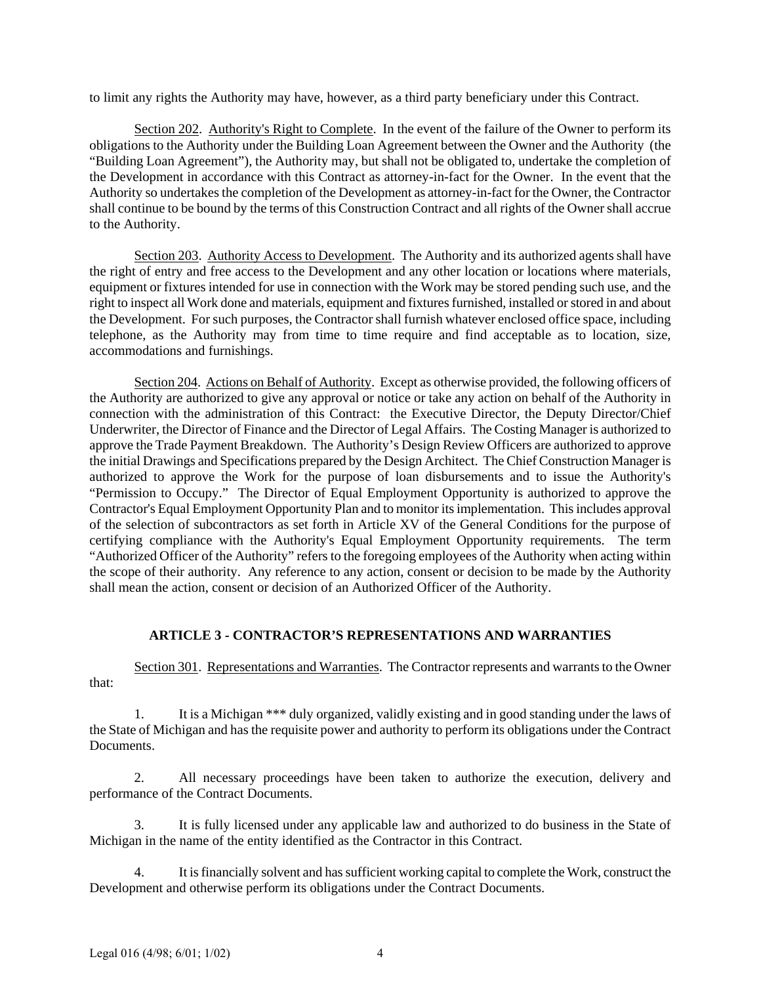to limit any rights the Authority may have, however, as a third party beneficiary under this Contract.

Section 202. Authority's Right to Complete. In the event of the failure of the Owner to perform its obligations to the Authority under the Building Loan Agreement between the Owner and the Authority (the "Building Loan Agreement"), the Authority may, but shall not be obligated to, undertake the completion of the Development in accordance with this Contract as attorney-in-fact for the Owner. In the event that the Authority so undertakes the completion of the Development as attorney-in-fact for the Owner, the Contractor shall continue to be bound by the terms of this Construction Contract and all rights of the Owner shall accrue to the Authority.

Section 203. Authority Access to Development. The Authority and its authorized agents shall have the right of entry and free access to the Development and any other location or locations where materials, equipment or fixtures intended for use in connection with the Work may be stored pending such use, and the right to inspect all Work done and materials, equipment and fixtures furnished, installed or stored in and about the Development. For such purposes, the Contractor shall furnish whatever enclosed office space, including telephone, as the Authority may from time to time require and find acceptable as to location, size, accommodations and furnishings.

Section 204. Actions on Behalf of Authority. Except as otherwise provided, the following officers of the Authority are authorized to give any approval or notice or take any action on behalf of the Authority in connection with the administration of this Contract: the Executive Director, the Deputy Director/Chief Underwriter, the Director of Finance and the Director of Legal Affairs. The Costing Manager is authorized to approve the Trade Payment Breakdown. The Authority's Design Review Officers are authorized to approve the initial Drawings and Specifications prepared by the Design Architect. The Chief Construction Manager is authorized to approve the Work for the purpose of loan disbursements and to issue the Authority's "Permission to Occupy." The Director of Equal Employment Opportunity is authorized to approve the Contractor's Equal Employment Opportunity Plan and to monitor its implementation. This includes approval of the selection of subcontractors as set forth in Article XV of the General Conditions for the purpose of certifying compliance with the Authority's Equal Employment Opportunity requirements. The term "Authorized Officer of the Authority" refers to the foregoing employees of the Authority when acting within the scope of their authority. Any reference to any action, consent or decision to be made by the Authority shall mean the action, consent or decision of an Authorized Officer of the Authority.

# **ARTICLE 3 - CONTRACTOR'S REPRESENTATIONS AND WARRANTIES**

Section 301. Representations and Warranties. The Contractor represents and warrants to the Owner that:

1. It is a Michigan \*\*\* duly organized, validly existing and in good standing under the laws of the State of Michigan and has the requisite power and authority to perform its obligations under the Contract Documents.

2. All necessary proceedings have been taken to authorize the execution, delivery and performance of the Contract Documents.

3. It is fully licensed under any applicable law and authorized to do business in the State of Michigan in the name of the entity identified as the Contractor in this Contract.

4. It is financially solvent and has sufficient working capital to complete the Work, construct the Development and otherwise perform its obligations under the Contract Documents.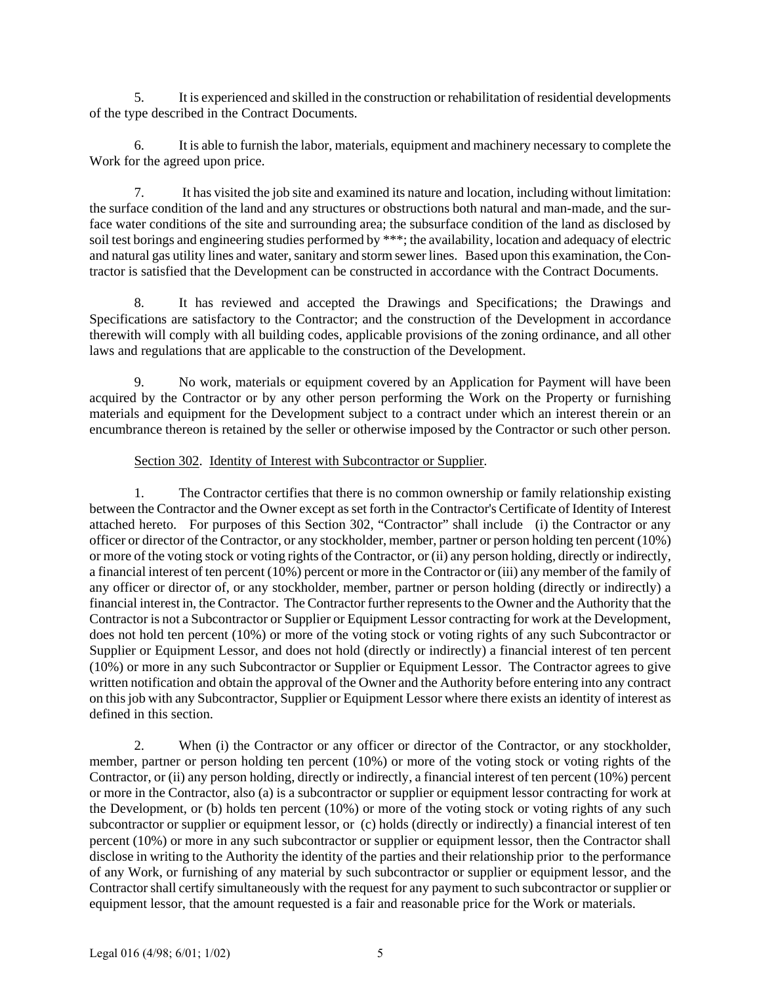5. It is experienced and skilled in the construction or rehabilitation of residential developments of the type described in the Contract Documents.

6. It is able to furnish the labor, materials, equipment and machinery necessary to complete the Work for the agreed upon price.

7. It has visited the job site and examined its nature and location, including without limitation: the surface condition of the land and any structures or obstructions both natural and man-made, and the surface water conditions of the site and surrounding area; the subsurface condition of the land as disclosed by soil test borings and engineering studies performed by \*\*\*; the availability, location and adequacy of electric and natural gas utility lines and water, sanitary and storm sewer lines. Based upon this examination, the Contractor is satisfied that the Development can be constructed in accordance with the Contract Documents.

8. It has reviewed and accepted the Drawings and Specifications; the Drawings and Specifications are satisfactory to the Contractor; and the construction of the Development in accordance therewith will comply with all building codes, applicable provisions of the zoning ordinance, and all other laws and regulations that are applicable to the construction of the Development.

9. No work, materials or equipment covered by an Application for Payment will have been acquired by the Contractor or by any other person performing the Work on the Property or furnishing materials and equipment for the Development subject to a contract under which an interest therein or an encumbrance thereon is retained by the seller or otherwise imposed by the Contractor or such other person.

# Section 302. Identity of Interest with Subcontractor or Supplier.

1. The Contractor certifies that there is no common ownership or family relationship existing between the Contractor and the Owner except as set forth in the Contractor's Certificate of Identity of Interest attached hereto. For purposes of this Section 302, "Contractor" shall include (i) the Contractor or any officer or director of the Contractor, or any stockholder, member, partner or person holding ten percent (10%) or more of the voting stock or voting rights of the Contractor, or (ii) any person holding, directly or indirectly, a financial interest of ten percent (10%) percent or more in the Contractor or (iii) any member of the family of any officer or director of, or any stockholder, member, partner or person holding (directly or indirectly) a financial interest in, the Contractor. The Contractor further represents to the Owner and the Authority that the Contractor is not a Subcontractor or Supplier or Equipment Lessor contracting for work at the Development, does not hold ten percent (10%) or more of the voting stock or voting rights of any such Subcontractor or Supplier or Equipment Lessor, and does not hold (directly or indirectly) a financial interest of ten percent (10%) or more in any such Subcontractor or Supplier or Equipment Lessor. The Contractor agrees to give written notification and obtain the approval of the Owner and the Authority before entering into any contract on this job with any Subcontractor, Supplier or Equipment Lessor where there exists an identity of interest as defined in this section.

2. When (i) the Contractor or any officer or director of the Contractor, or any stockholder, member, partner or person holding ten percent (10%) or more of the voting stock or voting rights of the Contractor, or (ii) any person holding, directly or indirectly, a financial interest of ten percent (10%) percent or more in the Contractor, also (a) is a subcontractor or supplier or equipment lessor contracting for work at the Development, or (b) holds ten percent (10%) or more of the voting stock or voting rights of any such subcontractor or supplier or equipment lessor, or (c) holds (directly or indirectly) a financial interest of ten percent (10%) or more in any such subcontractor or supplier or equipment lessor, then the Contractor shall disclose in writing to the Authority the identity of the parties and their relationship prior to the performance of any Work, or furnishing of any material by such subcontractor or supplier or equipment lessor, and the Contractor shall certify simultaneously with the request for any payment to such subcontractor or supplier or equipment lessor, that the amount requested is a fair and reasonable price for the Work or materials.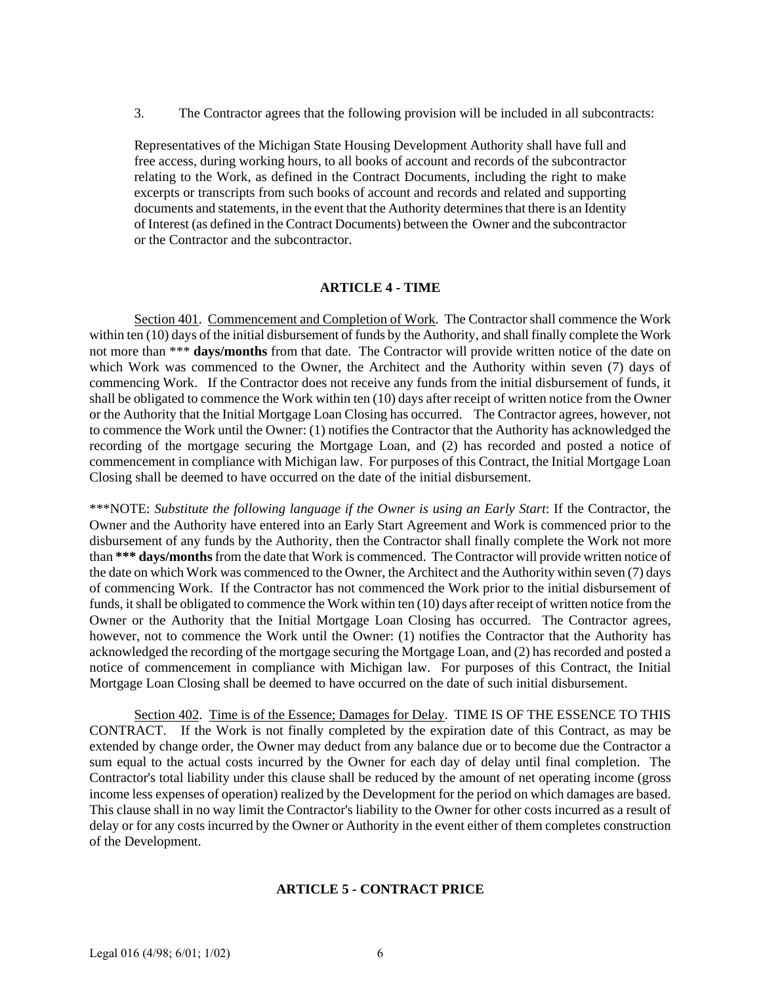3. The Contractor agrees that the following provision will be included in all subcontracts:

Representatives of the Michigan State Housing Development Authority shall have full and free access, during working hours, to all books of account and records of the subcontractor relating to the Work, as defined in the Contract Documents, including the right to make excerpts or transcripts from such books of account and records and related and supporting documents and statements, in the event that the Authority determines that there is an Identity of Interest (as defined in the Contract Documents) between the Owner and the subcontractor or the Contractor and the subcontractor.

## **ARTICLE 4 - TIME**

Section 401. Commencement and Completion of Work. The Contractor shall commence the Work within ten (10) days of the initial disbursement of funds by the Authority, and shall finally complete the Work not more than \*\*\* **days/months** from that date. The Contractor will provide written notice of the date on which Work was commenced to the Owner, the Architect and the Authority within seven (7) days of commencing Work. If the Contractor does not receive any funds from the initial disbursement of funds, it shall be obligated to commence the Work within ten (10) days after receipt of written notice from the Owner or the Authority that the Initial Mortgage Loan Closing has occurred. The Contractor agrees, however, not to commence the Work until the Owner: (1) notifies the Contractor that the Authority has acknowledged the recording of the mortgage securing the Mortgage Loan, and (2) has recorded and posted a notice of commencement in compliance with Michigan law. For purposes of this Contract, the Initial Mortgage Loan Closing shall be deemed to have occurred on the date of the initial disbursement.

\*\*\*NOTE: *Substitute the following language if the Owner is using an Early Start*: If the Contractor, the Owner and the Authority have entered into an Early Start Agreement and Work is commenced prior to the disbursement of any funds by the Authority, then the Contractor shall finally complete the Work not more than **\*\*\* days/months** from the date that Work is commenced. The Contractor will provide written notice of the date on which Work was commenced to the Owner, the Architect and the Authority within seven (7) days of commencing Work. If the Contractor has not commenced the Work prior to the initial disbursement of funds, it shall be obligated to commence the Work within ten (10) days after receipt of written notice from the Owner or the Authority that the Initial Mortgage Loan Closing has occurred. The Contractor agrees, however, not to commence the Work until the Owner: (1) notifies the Contractor that the Authority has acknowledged the recording of the mortgage securing the Mortgage Loan, and (2) has recorded and posted a notice of commencement in compliance with Michigan law. For purposes of this Contract, the Initial Mortgage Loan Closing shall be deemed to have occurred on the date of such initial disbursement.

Section 402. Time is of the Essence; Damages for Delay. TIME IS OF THE ESSENCE TO THIS CONTRACT. If the Work is not finally completed by the expiration date of this Contract, as may be extended by change order, the Owner may deduct from any balance due or to become due the Contractor a sum equal to the actual costs incurred by the Owner for each day of delay until final completion. The Contractor's total liability under this clause shall be reduced by the amount of net operating income (gross income less expenses of operation) realized by the Development for the period on which damages are based. This clause shall in no way limit the Contractor's liability to the Owner for other costs incurred as a result of delay or for any costs incurred by the Owner or Authority in the event either of them completes construction of the Development.

# **ARTICLE 5 - CONTRACT PRICE**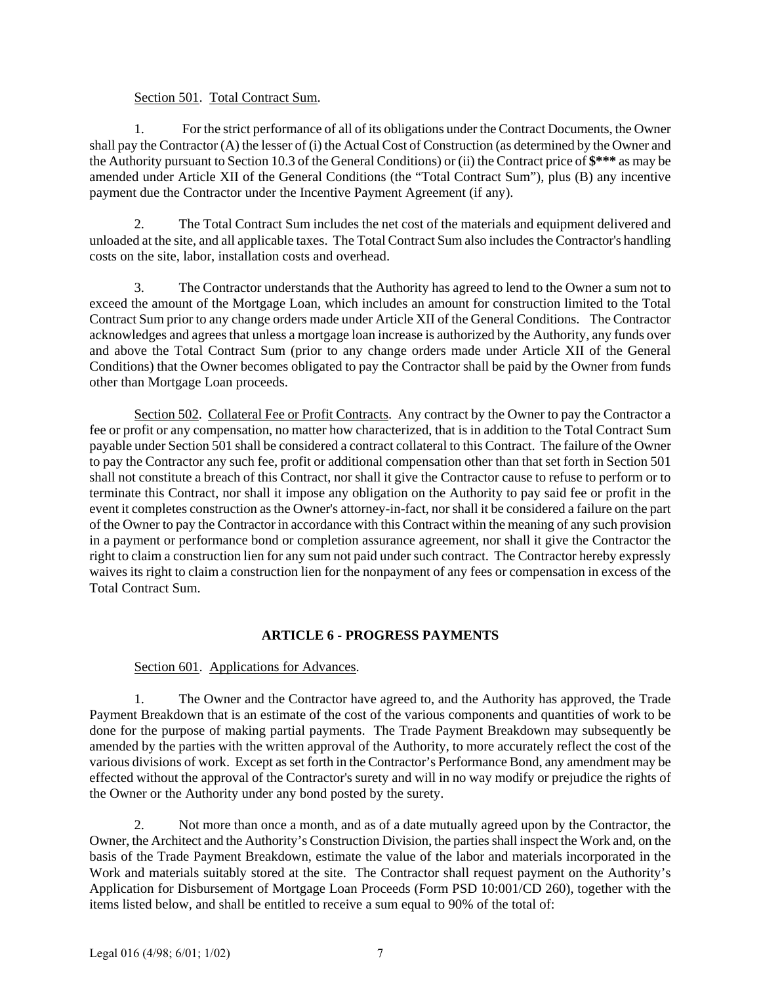# Section 501. Total Contract Sum.

1. For the strict performance of all of its obligations under the Contract Documents, the Owner shall pay the Contractor (A) the lesser of (i) the Actual Cost of Construction (as determined by the Owner and the Authority pursuant to Section 10.3 of the General Conditions) or (ii) the Contract price of **\$\*\*\*** as may be amended under Article XII of the General Conditions (the "Total Contract Sum"), plus (B) any incentive payment due the Contractor under the Incentive Payment Agreement (if any).

2. The Total Contract Sum includes the net cost of the materials and equipment delivered and unloaded at the site, and all applicable taxes. The Total Contract Sum also includes the Contractor's handling costs on the site, labor, installation costs and overhead.

3. The Contractor understands that the Authority has agreed to lend to the Owner a sum not to exceed the amount of the Mortgage Loan, which includes an amount for construction limited to the Total Contract Sum prior to any change orders made under Article XII of the General Conditions. The Contractor acknowledges and agrees that unless a mortgage loan increase is authorized by the Authority, any funds over and above the Total Contract Sum (prior to any change orders made under Article XII of the General Conditions) that the Owner becomes obligated to pay the Contractor shall be paid by the Owner from funds other than Mortgage Loan proceeds.

Section 502. Collateral Fee or Profit Contracts. Any contract by the Owner to pay the Contractor a fee or profit or any compensation, no matter how characterized, that is in addition to the Total Contract Sum payable under Section 501 shall be considered a contract collateral to this Contract. The failure of the Owner to pay the Contractor any such fee, profit or additional compensation other than that set forth in Section 501 shall not constitute a breach of this Contract, nor shall it give the Contractor cause to refuse to perform or to terminate this Contract, nor shall it impose any obligation on the Authority to pay said fee or profit in the event it completes construction as the Owner's attorney-in-fact, nor shall it be considered a failure on the part of the Owner to pay the Contractor in accordance with this Contract within the meaning of any such provision in a payment or performance bond or completion assurance agreement, nor shall it give the Contractor the right to claim a construction lien for any sum not paid under such contract. The Contractor hereby expressly waives its right to claim a construction lien for the nonpayment of any fees or compensation in excess of the Total Contract Sum.

# **ARTICLE 6 - PROGRESS PAYMENTS**

# Section 601. Applications for Advances.

1. The Owner and the Contractor have agreed to, and the Authority has approved, the Trade Payment Breakdown that is an estimate of the cost of the various components and quantities of work to be done for the purpose of making partial payments. The Trade Payment Breakdown may subsequently be amended by the parties with the written approval of the Authority, to more accurately reflect the cost of the various divisions of work. Except as set forth in the Contractor's Performance Bond, any amendment may be effected without the approval of the Contractor's surety and will in no way modify or prejudice the rights of the Owner or the Authority under any bond posted by the surety.

2. Not more than once a month, and as of a date mutually agreed upon by the Contractor, the Owner, the Architect and the Authority's Construction Division, the parties shall inspect the Work and, on the basis of the Trade Payment Breakdown, estimate the value of the labor and materials incorporated in the Work and materials suitably stored at the site. The Contractor shall request payment on the Authority's Application for Disbursement of Mortgage Loan Proceeds (Form PSD 10:001/CD 260), together with the items listed below, and shall be entitled to receive a sum equal to 90% of the total of: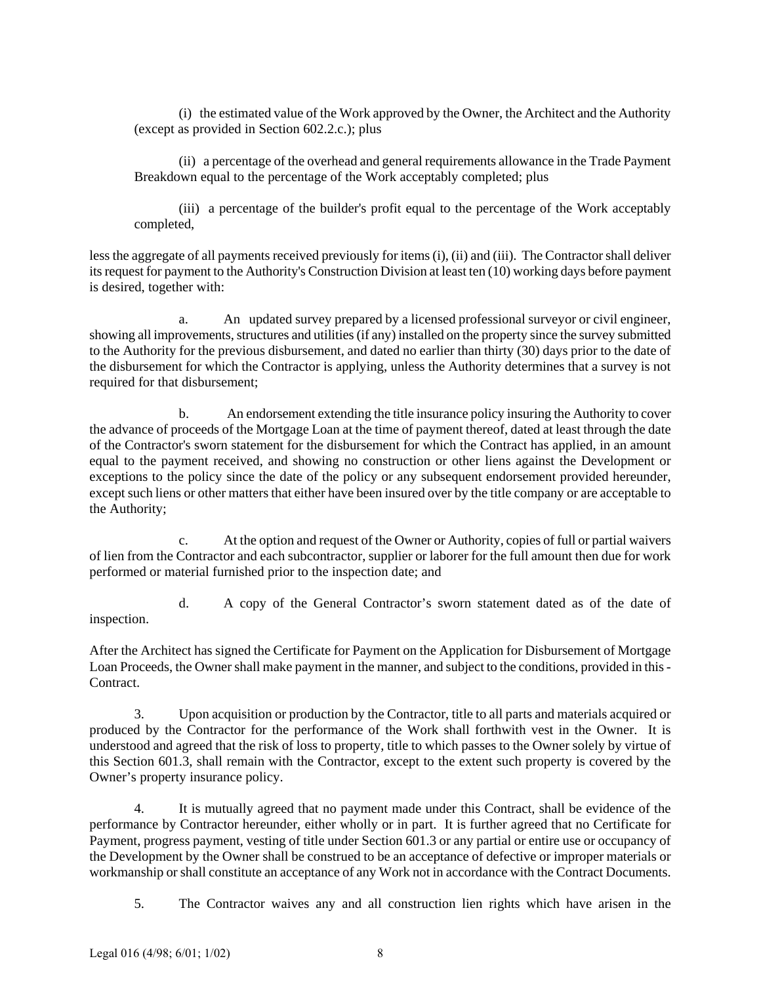(i) the estimated value of the Work approved by the Owner, the Architect and the Authority (except as provided in Section 602.2.c.); plus

(ii) a percentage of the overhead and general requirements allowance in the Trade Payment Breakdown equal to the percentage of the Work acceptably completed; plus

(iii) a percentage of the builder's profit equal to the percentage of the Work acceptably completed,

less the aggregate of all payments received previously for items (i), (ii) and (iii). The Contractor shall deliver its request for payment to the Authority's Construction Division at least ten (10) working days before payment is desired, together with:

a. An updated survey prepared by a licensed professional surveyor or civil engineer, showing all improvements, structures and utilities (if any) installed on the property since the survey submitted to the Authority for the previous disbursement, and dated no earlier than thirty (30) days prior to the date of the disbursement for which the Contractor is applying, unless the Authority determines that a survey is not required for that disbursement;

b. An endorsement extending the title insurance policy insuring the Authority to cover the advance of proceeds of the Mortgage Loan at the time of payment thereof, dated at least through the date of the Contractor's sworn statement for the disbursement for which the Contract has applied, in an amount equal to the payment received, and showing no construction or other liens against the Development or exceptions to the policy since the date of the policy or any subsequent endorsement provided hereunder, except such liens or other matters that either have been insured over by the title company or are acceptable to the Authority;

c. At the option and request of the Owner or Authority, copies of full or partial waivers of lien from the Contractor and each subcontractor, supplier or laborer for the full amount then due for work performed or material furnished prior to the inspection date; and

d. A copy of the General Contractor's sworn statement dated as of the date of inspection.

After the Architect has signed the Certificate for Payment on the Application for Disbursement of Mortgage Loan Proceeds, the Owner shall make payment in the manner, and subject to the conditions, provided in this - Contract.

3. Upon acquisition or production by the Contractor, title to all parts and materials acquired or produced by the Contractor for the performance of the Work shall forthwith vest in the Owner. It is understood and agreed that the risk of loss to property, title to which passes to the Owner solely by virtue of this Section 601.3, shall remain with the Contractor, except to the extent such property is covered by the Owner's property insurance policy.

4. It is mutually agreed that no payment made under this Contract, shall be evidence of the performance by Contractor hereunder, either wholly or in part. It is further agreed that no Certificate for Payment, progress payment, vesting of title under Section 601.3 or any partial or entire use or occupancy of the Development by the Owner shall be construed to be an acceptance of defective or improper materials or workmanship or shall constitute an acceptance of any Work not in accordance with the Contract Documents.

5. The Contractor waives any and all construction lien rights which have arisen in the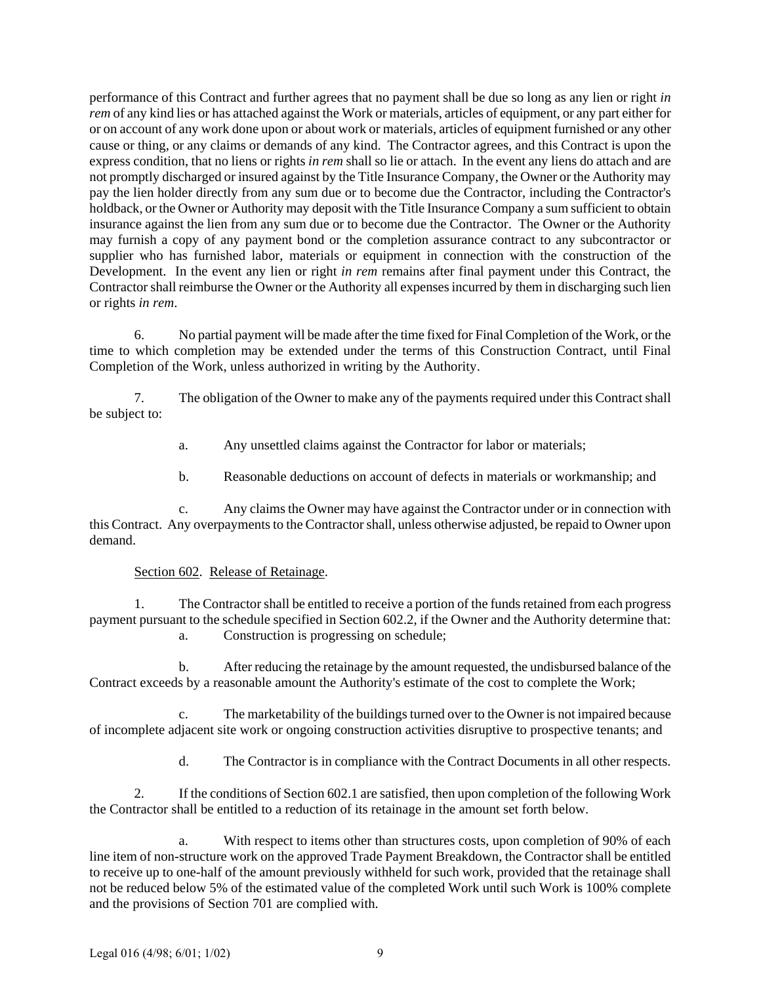performance of this Contract and further agrees that no payment shall be due so long as any lien or right *in rem* of any kind lies or has attached against the Work or materials, articles of equipment, or any part either for or on account of any work done upon or about work or materials, articles of equipment furnished or any other cause or thing, or any claims or demands of any kind. The Contractor agrees, and this Contract is upon the express condition, that no liens or rights *in rem* shall so lie or attach. In the event any liens do attach and are not promptly discharged or insured against by the Title Insurance Company, the Owner or the Authority may pay the lien holder directly from any sum due or to become due the Contractor, including the Contractor's holdback, or the Owner or Authority may deposit with the Title Insurance Company a sum sufficient to obtain insurance against the lien from any sum due or to become due the Contractor. The Owner or the Authority may furnish a copy of any payment bond or the completion assurance contract to any subcontractor or supplier who has furnished labor, materials or equipment in connection with the construction of the Development. In the event any lien or right *in rem* remains after final payment under this Contract, the Contractor shall reimburse the Owner or the Authority all expenses incurred by them in discharging such lien or rights *in rem*.

6. No partial payment will be made after the time fixed for Final Completion of the Work, or the time to which completion may be extended under the terms of this Construction Contract, until Final Completion of the Work, unless authorized in writing by the Authority.

7. The obligation of the Owner to make any of the payments required under this Contract shall be subject to:

- a. Any unsettled claims against the Contractor for labor or materials;
- b. Reasonable deductions on account of defects in materials or workmanship; and

c. Any claims the Owner may have against the Contractor under or in connection with this Contract. Any overpayments to the Contractor shall, unless otherwise adjusted, be repaid to Owner upon demand.

# Section 602. Release of Retainage.

1. The Contractor shall be entitled to receive a portion of the funds retained from each progress payment pursuant to the schedule specified in Section 602.2, if the Owner and the Authority determine that: a. Construction is progressing on schedule;

b. After reducing the retainage by the amount requested, the undisbursed balance of the Contract exceeds by a reasonable amount the Authority's estimate of the cost to complete the Work;

c. The marketability of the buildings turned over to the Owner is not impaired because of incomplete adjacent site work or ongoing construction activities disruptive to prospective tenants; and

d. The Contractor is in compliance with the Contract Documents in all other respects.

2. If the conditions of Section 602.1 are satisfied, then upon completion of the following Work the Contractor shall be entitled to a reduction of its retainage in the amount set forth below.

a. With respect to items other than structures costs, upon completion of 90% of each line item of non-structure work on the approved Trade Payment Breakdown, the Contractor shall be entitled to receive up to one-half of the amount previously withheld for such work, provided that the retainage shall not be reduced below 5% of the estimated value of the completed Work until such Work is 100% complete and the provisions of Section 701 are complied with.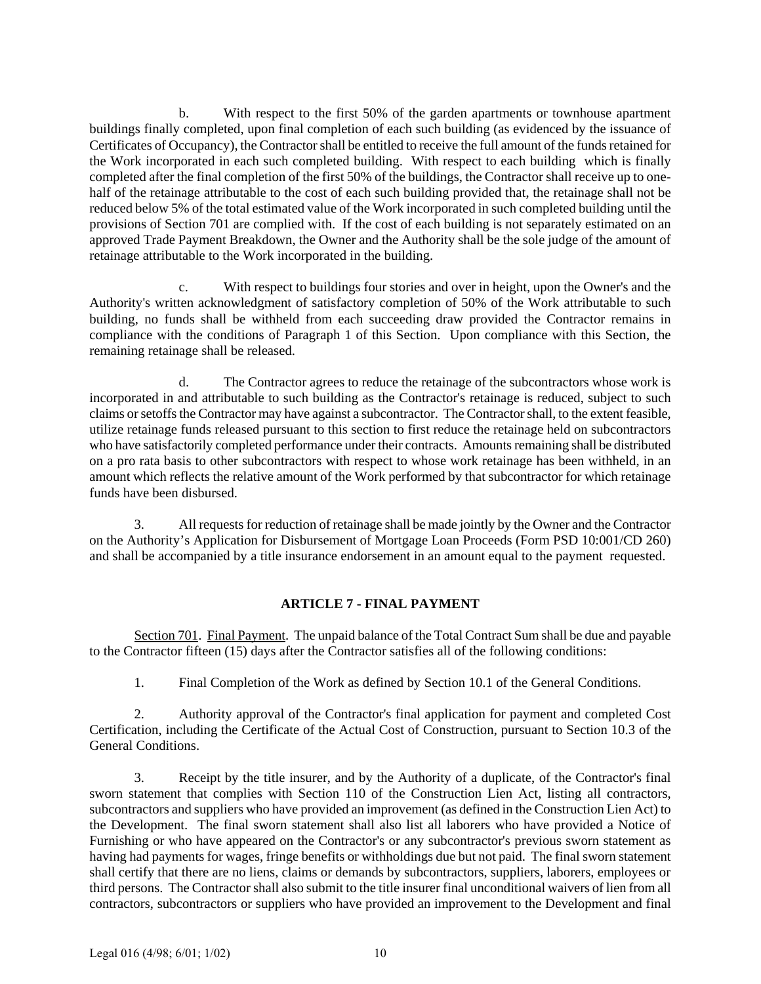b. With respect to the first 50% of the garden apartments or townhouse apartment buildings finally completed, upon final completion of each such building (as evidenced by the issuance of Certificates of Occupancy), the Contractor shall be entitled to receive the full amount of the funds retained for the Work incorporated in each such completed building. With respect to each building which is finally completed after the final completion of the first 50% of the buildings, the Contractor shall receive up to onehalf of the retainage attributable to the cost of each such building provided that, the retainage shall not be reduced below 5% of the total estimated value of the Work incorporated in such completed building until the provisions of Section 701 are complied with. If the cost of each building is not separately estimated on an approved Trade Payment Breakdown, the Owner and the Authority shall be the sole judge of the amount of retainage attributable to the Work incorporated in the building.

c. With respect to buildings four stories and over in height, upon the Owner's and the Authority's written acknowledgment of satisfactory completion of 50% of the Work attributable to such building, no funds shall be withheld from each succeeding draw provided the Contractor remains in compliance with the conditions of Paragraph 1 of this Section. Upon compliance with this Section, the remaining retainage shall be released.

d. The Contractor agrees to reduce the retainage of the subcontractors whose work is incorporated in and attributable to such building as the Contractor's retainage is reduced, subject to such claims or setoffs the Contractor may have against a subcontractor. The Contractor shall, to the extent feasible, utilize retainage funds released pursuant to this section to first reduce the retainage held on subcontractors who have satisfactorily completed performance under their contracts. Amounts remaining shall be distributed on a pro rata basis to other subcontractors with respect to whose work retainage has been withheld, in an amount which reflects the relative amount of the Work performed by that subcontractor for which retainage funds have been disbursed.

3. All requests for reduction of retainage shall be made jointly by the Owner and the Contractor on the Authority's Application for Disbursement of Mortgage Loan Proceeds (Form PSD 10:001/CD 260) and shall be accompanied by a title insurance endorsement in an amount equal to the payment requested.

# **ARTICLE 7 - FINAL PAYMENT**

Section 701. Final Payment. The unpaid balance of the Total Contract Sum shall be due and payable to the Contractor fifteen (15) days after the Contractor satisfies all of the following conditions:

1. Final Completion of the Work as defined by Section 10.1 of the General Conditions.

2. Authority approval of the Contractor's final application for payment and completed Cost Certification, including the Certificate of the Actual Cost of Construction, pursuant to Section 10.3 of the General Conditions.

3. Receipt by the title insurer, and by the Authority of a duplicate, of the Contractor's final sworn statement that complies with Section 110 of the Construction Lien Act, listing all contractors, subcontractors and suppliers who have provided an improvement (as defined in the Construction Lien Act) to the Development. The final sworn statement shall also list all laborers who have provided a Notice of Furnishing or who have appeared on the Contractor's or any subcontractor's previous sworn statement as having had payments for wages, fringe benefits or withholdings due but not paid. The final sworn statement shall certify that there are no liens, claims or demands by subcontractors, suppliers, laborers, employees or third persons. The Contractor shall also submit to the title insurer final unconditional waivers of lien from all contractors, subcontractors or suppliers who have provided an improvement to the Development and final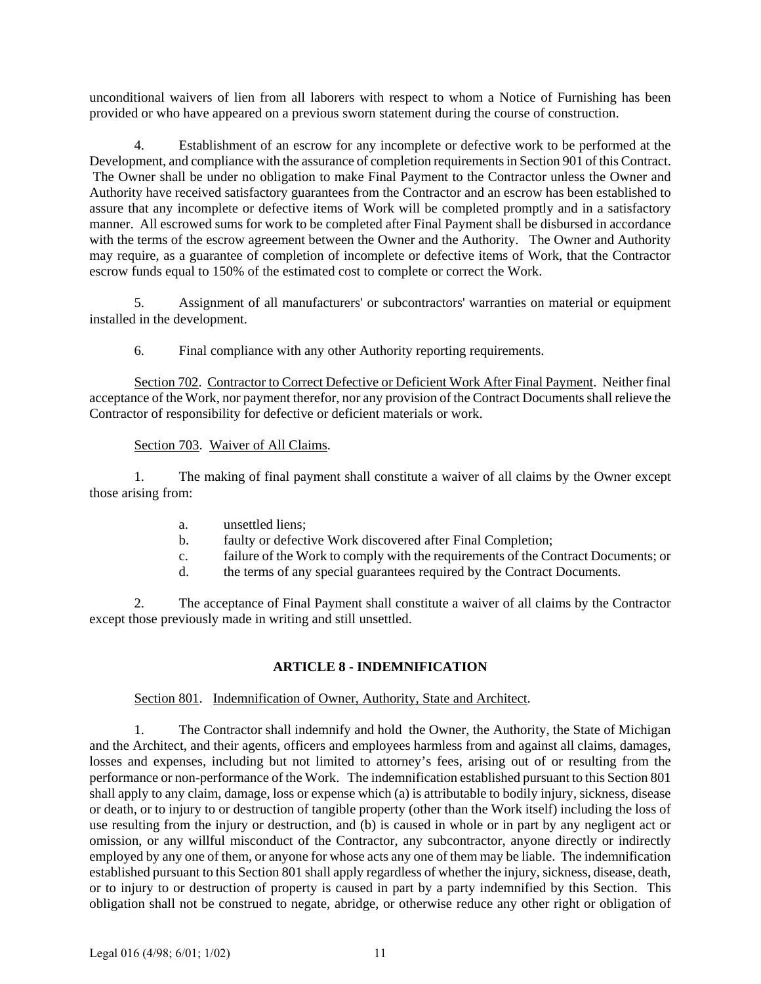unconditional waivers of lien from all laborers with respect to whom a Notice of Furnishing has been provided or who have appeared on a previous sworn statement during the course of construction.

4. Establishment of an escrow for any incomplete or defective work to be performed at the Development, and compliance with the assurance of completion requirements in Section 901 of this Contract. The Owner shall be under no obligation to make Final Payment to the Contractor unless the Owner and Authority have received satisfactory guarantees from the Contractor and an escrow has been established to assure that any incomplete or defective items of Work will be completed promptly and in a satisfactory manner. All escrowed sums for work to be completed after Final Payment shall be disbursed in accordance with the terms of the escrow agreement between the Owner and the Authority. The Owner and Authority may require, as a guarantee of completion of incomplete or defective items of Work, that the Contractor escrow funds equal to 150% of the estimated cost to complete or correct the Work.

5. Assignment of all manufacturers' or subcontractors' warranties on material or equipment installed in the development.

6. Final compliance with any other Authority reporting requirements.

Section 702. Contractor to Correct Defective or Deficient Work After Final Payment. Neither final acceptance of the Work, nor payment therefor, nor any provision of the Contract Documents shall relieve the Contractor of responsibility for defective or deficient materials or work.

# Section 703. Waiver of All Claims.

1. The making of final payment shall constitute a waiver of all claims by the Owner except those arising from:

- a. unsettled liens;
- b. faulty or defective Work discovered after Final Completion;
- c. failure of the Work to comply with the requirements of the Contract Documents; or
- d. the terms of any special guarantees required by the Contract Documents.

2. The acceptance of Final Payment shall constitute a waiver of all claims by the Contractor except those previously made in writing and still unsettled.

# **ARTICLE 8 - INDEMNIFICATION**

# Section 801. Indemnification of Owner, Authority, State and Architect.

1. The Contractor shall indemnify and hold the Owner, the Authority, the State of Michigan and the Architect, and their agents, officers and employees harmless from and against all claims, damages, losses and expenses, including but not limited to attorney's fees, arising out of or resulting from the performance or non-performance of the Work. The indemnification established pursuant to this Section 801 shall apply to any claim, damage, loss or expense which (a) is attributable to bodily injury, sickness, disease or death, or to injury to or destruction of tangible property (other than the Work itself) including the loss of use resulting from the injury or destruction, and (b) is caused in whole or in part by any negligent act or omission, or any willful misconduct of the Contractor, any subcontractor, anyone directly or indirectly employed by any one of them, or anyone for whose acts any one of them may be liable. The indemnification established pursuant to this Section 801 shall apply regardless of whether the injury, sickness, disease, death, or to injury to or destruction of property is caused in part by a party indemnified by this Section. This obligation shall not be construed to negate, abridge, or otherwise reduce any other right or obligation of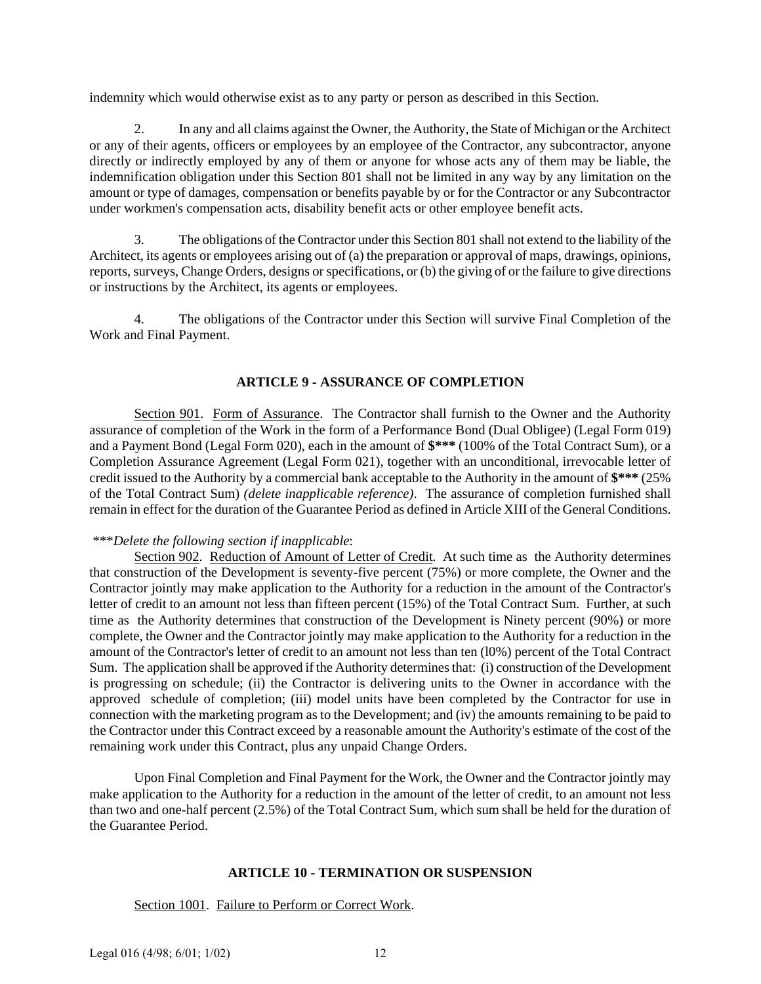indemnity which would otherwise exist as to any party or person as described in this Section.

2. In any and all claims against the Owner, the Authority, the State of Michigan or the Architect or any of their agents, officers or employees by an employee of the Contractor, any subcontractor, anyone directly or indirectly employed by any of them or anyone for whose acts any of them may be liable, the indemnification obligation under this Section 801 shall not be limited in any way by any limitation on the amount or type of damages, compensation or benefits payable by or for the Contractor or any Subcontractor under workmen's compensation acts, disability benefit acts or other employee benefit acts.

3. The obligations of the Contractor under this Section 801 shall not extend to the liability of the Architect, its agents or employees arising out of (a) the preparation or approval of maps, drawings, opinions, reports, surveys, Change Orders, designs or specifications, or (b) the giving of or the failure to give directions or instructions by the Architect, its agents or employees.

4. The obligations of the Contractor under this Section will survive Final Completion of the Work and Final Payment.

# **ARTICLE 9 - ASSURANCE OF COMPLETION**

Section 901. Form of Assurance. The Contractor shall furnish to the Owner and the Authority assurance of completion of the Work in the form of a Performance Bond (Dual Obligee) (Legal Form 019) and a Payment Bond (Legal Form 020), each in the amount of **\$\*\*\*** (100% of the Total Contract Sum), or a Completion Assurance Agreement (Legal Form 021), together with an unconditional, irrevocable letter of credit issued to the Authority by a commercial bank acceptable to the Authority in the amount of **\$\*\*\*** (25% of the Total Contract Sum) *(delete inapplicable reference)*. The assurance of completion furnished shall remain in effect for the duration of the Guarantee Period as defined in Article XIII of the General Conditions.

# \*\*\**Delete the following section if inapplicable*:

Section 902. Reduction of Amount of Letter of Credit. At such time as the Authority determines that construction of the Development is seventy-five percent (75%) or more complete, the Owner and the Contractor jointly may make application to the Authority for a reduction in the amount of the Contractor's letter of credit to an amount not less than fifteen percent (15%) of the Total Contract Sum. Further, at such time as the Authority determines that construction of the Development is Ninety percent (90%) or more complete, the Owner and the Contractor jointly may make application to the Authority for a reduction in the amount of the Contractor's letter of credit to an amount not less than ten (l0%) percent of the Total Contract Sum. The application shall be approved if the Authority determines that: (i) construction of the Development is progressing on schedule; (ii) the Contractor is delivering units to the Owner in accordance with the approved schedule of completion; (iii) model units have been completed by the Contractor for use in connection with the marketing program as to the Development; and (iv) the amounts remaining to be paid to the Contractor under this Contract exceed by a reasonable amount the Authority's estimate of the cost of the remaining work under this Contract, plus any unpaid Change Orders.

Upon Final Completion and Final Payment for the Work, the Owner and the Contractor jointly may make application to the Authority for a reduction in the amount of the letter of credit, to an amount not less than two and one-half percent (2.5%) of the Total Contract Sum, which sum shall be held for the duration of the Guarantee Period.

## **ARTICLE 10 - TERMINATION OR SUSPENSION**

Section 1001. Failure to Perform or Correct Work.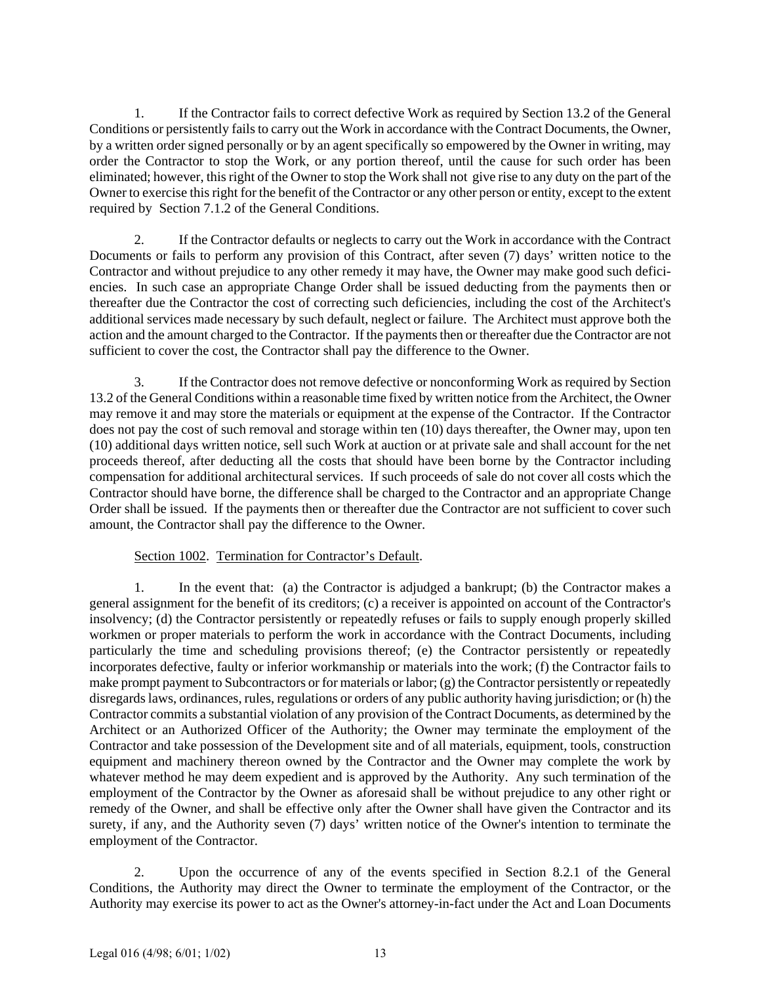1. If the Contractor fails to correct defective Work as required by Section 13.2 of the General Conditions or persistently fails to carry out the Work in accordance with the Contract Documents, the Owner, by a written order signed personally or by an agent specifically so empowered by the Owner in writing, may order the Contractor to stop the Work, or any portion thereof, until the cause for such order has been eliminated; however, this right of the Owner to stop the Work shall not give rise to any duty on the part of the Owner to exercise this right for the benefit of the Contractor or any other person or entity, except to the extent required by Section 7.1.2 of the General Conditions.

2. If the Contractor defaults or neglects to carry out the Work in accordance with the Contract Documents or fails to perform any provision of this Contract, after seven (7) days' written notice to the Contractor and without prejudice to any other remedy it may have, the Owner may make good such deficiencies. In such case an appropriate Change Order shall be issued deducting from the payments then or thereafter due the Contractor the cost of correcting such deficiencies, including the cost of the Architect's additional services made necessary by such default, neglect or failure. The Architect must approve both the action and the amount charged to the Contractor. If the payments then or thereafter due the Contractor are not sufficient to cover the cost, the Contractor shall pay the difference to the Owner.

3. If the Contractor does not remove defective or nonconforming Work as required by Section 13.2 of the General Conditions within a reasonable time fixed by written notice from the Architect, the Owner may remove it and may store the materials or equipment at the expense of the Contractor. If the Contractor does not pay the cost of such removal and storage within ten (10) days thereafter, the Owner may, upon ten (10) additional days written notice, sell such Work at auction or at private sale and shall account for the net proceeds thereof, after deducting all the costs that should have been borne by the Contractor including compensation for additional architectural services. If such proceeds of sale do not cover all costs which the Contractor should have borne, the difference shall be charged to the Contractor and an appropriate Change Order shall be issued. If the payments then or thereafter due the Contractor are not sufficient to cover such amount, the Contractor shall pay the difference to the Owner.

# Section 1002. Termination for Contractor's Default.

1. In the event that: (a) the Contractor is adjudged a bankrupt; (b) the Contractor makes a general assignment for the benefit of its creditors; (c) a receiver is appointed on account of the Contractor's insolvency; (d) the Contractor persistently or repeatedly refuses or fails to supply enough properly skilled workmen or proper materials to perform the work in accordance with the Contract Documents, including particularly the time and scheduling provisions thereof; (e) the Contractor persistently or repeatedly incorporates defective, faulty or inferior workmanship or materials into the work; (f) the Contractor fails to make prompt payment to Subcontractors or for materials or labor; (g) the Contractor persistently or repeatedly disregards laws, ordinances, rules, regulations or orders of any public authority having jurisdiction; or (h) the Contractor commits a substantial violation of any provision of the Contract Documents, as determined by the Architect or an Authorized Officer of the Authority; the Owner may terminate the employment of the Contractor and take possession of the Development site and of all materials, equipment, tools, construction equipment and machinery thereon owned by the Contractor and the Owner may complete the work by whatever method he may deem expedient and is approved by the Authority. Any such termination of the employment of the Contractor by the Owner as aforesaid shall be without prejudice to any other right or remedy of the Owner, and shall be effective only after the Owner shall have given the Contractor and its surety, if any, and the Authority seven (7) days' written notice of the Owner's intention to terminate the employment of the Contractor.

2. Upon the occurrence of any of the events specified in Section 8.2.1 of the General Conditions, the Authority may direct the Owner to terminate the employment of the Contractor, or the Authority may exercise its power to act as the Owner's attorney-in-fact under the Act and Loan Documents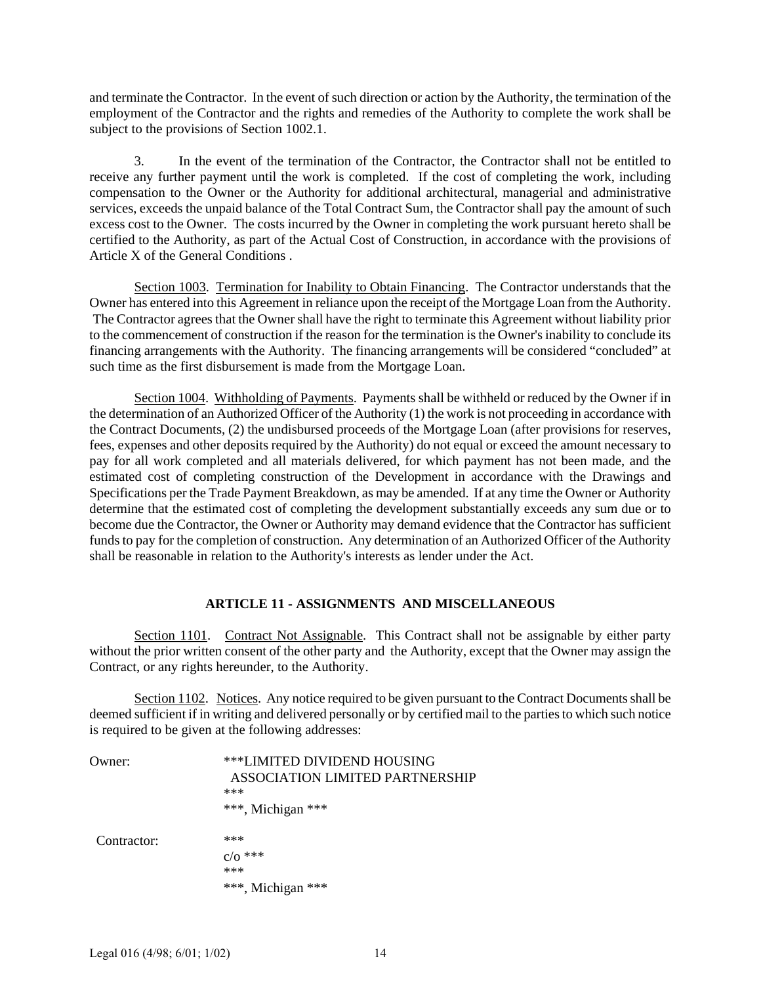and terminate the Contractor. In the event of such direction or action by the Authority, the termination of the employment of the Contractor and the rights and remedies of the Authority to complete the work shall be subject to the provisions of Section 1002.1.

3. In the event of the termination of the Contractor, the Contractor shall not be entitled to receive any further payment until the work is completed. If the cost of completing the work, including compensation to the Owner or the Authority for additional architectural, managerial and administrative services, exceeds the unpaid balance of the Total Contract Sum, the Contractor shall pay the amount of such excess cost to the Owner. The costs incurred by the Owner in completing the work pursuant hereto shall be certified to the Authority, as part of the Actual Cost of Construction, in accordance with the provisions of Article X of the General Conditions .

Section 1003. Termination for Inability to Obtain Financing. The Contractor understands that the Owner has entered into this Agreement in reliance upon the receipt of the Mortgage Loan from the Authority. The Contractor agrees that the Owner shall have the right to terminate this Agreement without liability prior to the commencement of construction if the reason for the termination is the Owner's inability to conclude its financing arrangements with the Authority. The financing arrangements will be considered "concluded" at such time as the first disbursement is made from the Mortgage Loan.

Section 1004. Withholding of Payments. Payments shall be withheld or reduced by the Owner if in the determination of an Authorized Officer of the Authority (1) the work is not proceeding in accordance with the Contract Documents, (2) the undisbursed proceeds of the Mortgage Loan (after provisions for reserves, fees, expenses and other deposits required by the Authority) do not equal or exceed the amount necessary to pay for all work completed and all materials delivered, for which payment has not been made, and the estimated cost of completing construction of the Development in accordance with the Drawings and Specifications per the Trade Payment Breakdown, as may be amended. If at any time the Owner or Authority determine that the estimated cost of completing the development substantially exceeds any sum due or to become due the Contractor, the Owner or Authority may demand evidence that the Contractor has sufficient funds to pay for the completion of construction. Any determination of an Authorized Officer of the Authority shall be reasonable in relation to the Authority's interests as lender under the Act.

# **ARTICLE 11 - ASSIGNMENTS AND MISCELLANEOUS**

Section 1101. Contract Not Assignable. This Contract shall not be assignable by either party without the prior written consent of the other party and the Authority, except that the Owner may assign the Contract, or any rights hereunder, to the Authority.

Section 1102. Notices. Any notice required to be given pursuant to the Contract Documents shall be deemed sufficient if in writing and delivered personally or by certified mail to the parties to which such notice is required to be given at the following addresses:

| ()wner:     | ***LIMITED DIVIDEND HOUSING<br>ASSOCIATION LIMITED PARTNERSHIP<br>*** |
|-------------|-----------------------------------------------------------------------|
|             | ***, Michigan ***                                                     |
| Contractor: | ***                                                                   |
|             | $C/O$ ***<br>***                                                      |
|             | ***, Michigan ***                                                     |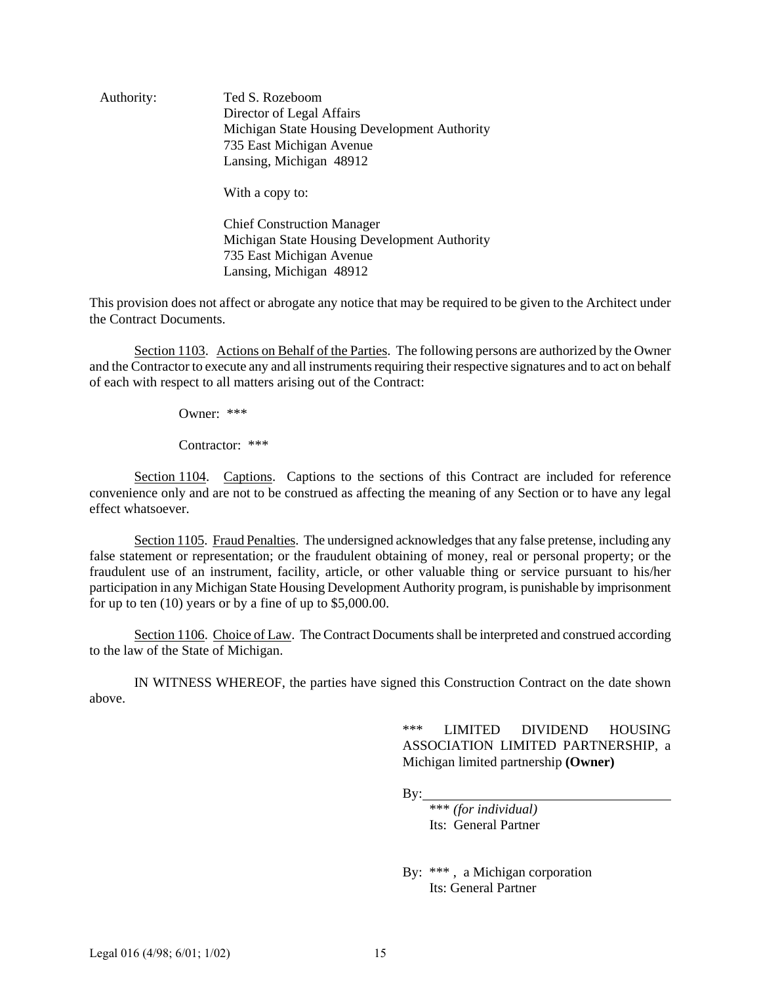Authority: Ted S. Rozeboom Director of Legal Affairs Michigan State Housing Development Authority 735 East Michigan Avenue Lansing, Michigan 48912

With a copy to:

Chief Construction Manager Michigan State Housing Development Authority 735 East Michigan Avenue Lansing, Michigan 48912

This provision does not affect or abrogate any notice that may be required to be given to the Architect under the Contract Documents.

Section 1103. Actions on Behalf of the Parties. The following persons are authorized by the Owner and the Contractor to execute any and all instruments requiring their respective signatures and to act on behalf of each with respect to all matters arising out of the Contract:

Owner: \*\*\*

Contractor: \*\*\*

Section 1104. Captions. Captions to the sections of this Contract are included for reference convenience only and are not to be construed as affecting the meaning of any Section or to have any legal effect whatsoever.

Section 1105. Fraud Penalties. The undersigned acknowledges that any false pretense, including any false statement or representation; or the fraudulent obtaining of money, real or personal property; or the fraudulent use of an instrument, facility, article, or other valuable thing or service pursuant to his/her participation in any Michigan State Housing Development Authority program, is punishable by imprisonment for up to ten (10) years or by a fine of up to \$5,000.00.

Section 1106. Choice of Law. The Contract Documents shall be interpreted and construed according to the law of the State of Michigan.

IN WITNESS WHEREOF, the parties have signed this Construction Contract on the date shown above.

> \*\*\* LIMITED DIVIDEND HOUSING ASSOCIATION LIMITED PARTNERSHIP, a Michigan limited partnership **(Owner)**

 $By:$ 

\*\*\* *(for individual)* Its: General Partner

By: \*\*\* , a Michigan corporation Its: General Partner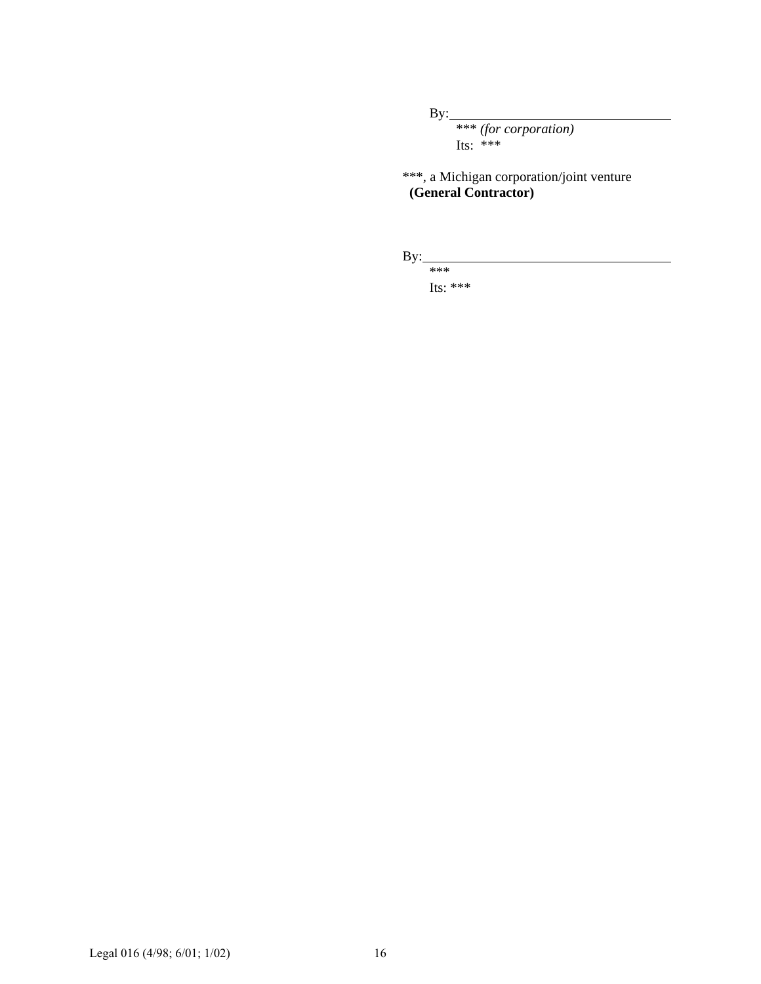$By:$ 

\*\*\* *(for corporation)* Its: \*\*\*

\*\*\*, a Michigan corporation/joint venture **(General Contractor)**

By: \*\*\*

Its: \*\*\*